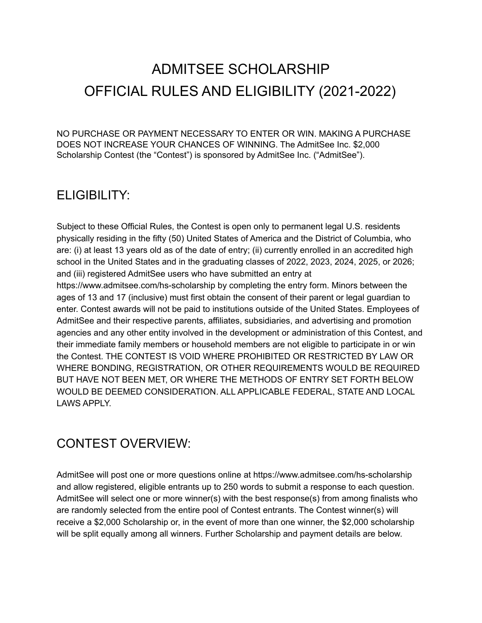# ADMITSEE SCHOLARSHIP OFFICIAL RULES AND ELIGIBILITY (2021-2022)

NO PURCHASE OR PAYMENT NECESSARY TO ENTER OR WIN. MAKING A PURCHASE DOES NOT INCREASE YOUR CHANCES OF WINNING. The AdmitSee Inc. \$2,000 Scholarship Contest (the "Contest") is sponsored by AdmitSee Inc. ("AdmitSee").

## ELIGIBILITY:

Subject to these Official Rules, the Contest is open only to permanent legal U.S. residents physically residing in the fifty (50) United States of America and the District of Columbia, who are: (i) at least 13 years old as of the date of entry; (ii) currently enrolled in an accredited high school in the United States and in the graduating classes of 2022, 2023, 2024, 2025, or 2026; and (iii) registered AdmitSee users who have submitted an entry at https://www.admitsee.com/hs-scholarship by completing the entry form. Minors between the ages of 13 and 17 (inclusive) must first obtain the consent of their parent or legal guardian to enter. Contest awards will not be paid to institutions outside of the United States. Employees of AdmitSee and their respective parents, affiliates, subsidiaries, and advertising and promotion agencies and any other entity involved in the development or administration of this Contest, and their immediate family members or household members are not eligible to participate in or win the Contest. THE CONTEST IS VOID WHERE PROHIBITED OR RESTRICTED BY LAW OR WHERE BONDING, REGISTRATION, OR OTHER REQUIREMENTS WOULD BE REQUIRED BUT HAVE NOT BEEN MET, OR WHERE THE METHODS OF ENTRY SET FORTH BELOW WOULD BE DEEMED CONSIDERATION. ALL APPLICABLE FEDERAL, STATE AND LOCAL LAWS APPLY.

## CONTEST OVERVIEW:

AdmitSee will post one or more questions online at https://www.admitsee.com/hs-scholarship and allow registered, eligible entrants up to 250 words to submit a response to each question. AdmitSee will select one or more winner(s) with the best response(s) from among finalists who are randomly selected from the entire pool of Contest entrants. The Contest winner(s) will receive a \$2,000 Scholarship or, in the event of more than one winner, the \$2,000 scholarship will be split equally among all winners. Further Scholarship and payment details are below.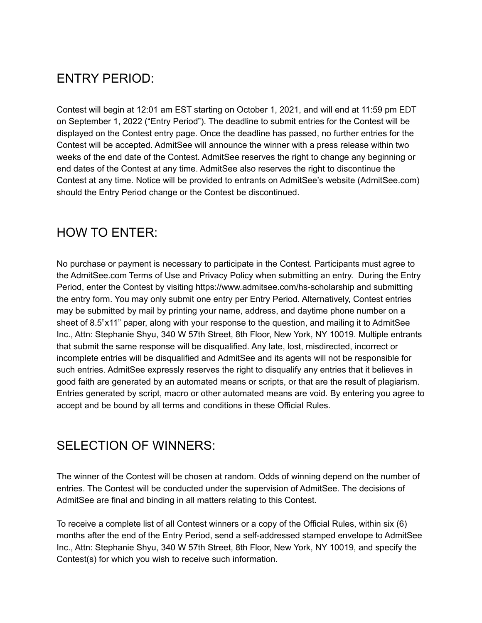## ENTRY PERIOD:

Contest will begin at 12:01 am EST starting on October 1, 2021, and will end at 11:59 pm EDT on September 1, 2022 ("Entry Period"). The deadline to submit entries for the Contest will be displayed on the Contest entry page. Once the deadline has passed, no further entries for the Contest will be accepted. AdmitSee will announce the winner with a press release within two weeks of the end date of the Contest. AdmitSee reserves the right to change any beginning or end dates of the Contest at any time. AdmitSee also reserves the right to discontinue the Contest at any time. Notice will be provided to entrants on AdmitSee's website (AdmitSee.com) should the Entry Period change or the Contest be discontinued.

## HOW TO ENTER:

No purchase or payment is necessary to participate in the Contest. Participants must agree to the AdmitSee.com Terms of Use and Privacy Policy when submitting an entry. During the Entry Period, enter the Contest by visiting https://www.admitsee.com/hs-scholarship and submitting the entry form. You may only submit one entry per Entry Period. Alternatively, Contest entries may be submitted by mail by printing your name, address, and daytime phone number on a sheet of 8.5"x11" paper, along with your response to the question, and mailing it to AdmitSee Inc., Attn: Stephanie Shyu, 340 W 57th Street, 8th Floor, New York, NY 10019. Multiple entrants that submit the same response will be disqualified. Any late, lost, misdirected, incorrect or incomplete entries will be disqualified and AdmitSee and its agents will not be responsible for such entries. AdmitSee expressly reserves the right to disqualify any entries that it believes in good faith are generated by an automated means or scripts, or that are the result of plagiarism. Entries generated by script, macro or other automated means are void. By entering you agree to accept and be bound by all terms and conditions in these Official Rules.

## SELECTION OF WINNERS:

The winner of the Contest will be chosen at random. Odds of winning depend on the number of entries. The Contest will be conducted under the supervision of AdmitSee. The decisions of AdmitSee are final and binding in all matters relating to this Contest.

To receive a complete list of all Contest winners or a copy of the Official Rules, within six (6) months after the end of the Entry Period, send a self-addressed stamped envelope to AdmitSee Inc., Attn: Stephanie Shyu, 340 W 57th Street, 8th Floor, New York, NY 10019, and specify the Contest(s) for which you wish to receive such information.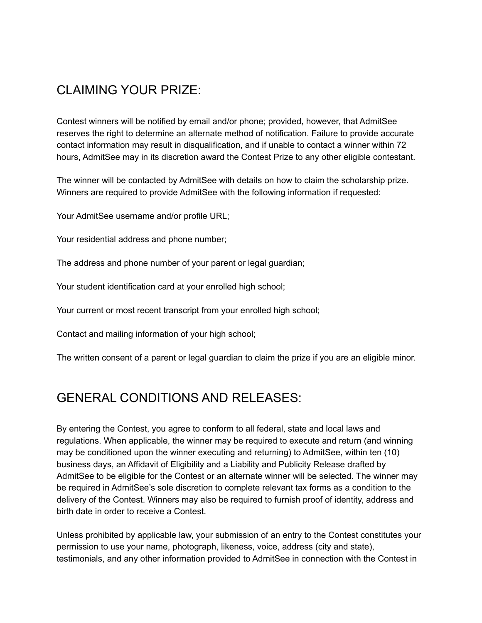## CLAIMING YOUR PRIZE:

Contest winners will be notified by email and/or phone; provided, however, that AdmitSee reserves the right to determine an alternate method of notification. Failure to provide accurate contact information may result in disqualification, and if unable to contact a winner within 72 hours, AdmitSee may in its discretion award the Contest Prize to any other eligible contestant.

The winner will be contacted by AdmitSee with details on how to claim the scholarship prize. Winners are required to provide AdmitSee with the following information if requested:

Your AdmitSee username and/or profile URL;

Your residential address and phone number;

The address and phone number of your parent or legal guardian;

Your student identification card at your enrolled high school;

Your current or most recent transcript from your enrolled high school;

Contact and mailing information of your high school;

The written consent of a parent or legal guardian to claim the prize if you are an eligible minor.

## GENERAL CONDITIONS AND RELEASES:

By entering the Contest, you agree to conform to all federal, state and local laws and regulations. When applicable, the winner may be required to execute and return (and winning may be conditioned upon the winner executing and returning) to AdmitSee, within ten (10) business days, an Affidavit of Eligibility and a Liability and Publicity Release drafted by AdmitSee to be eligible for the Contest or an alternate winner will be selected. The winner may be required in AdmitSee's sole discretion to complete relevant tax forms as a condition to the delivery of the Contest. Winners may also be required to furnish proof of identity, address and birth date in order to receive a Contest.

Unless prohibited by applicable law, your submission of an entry to the Contest constitutes your permission to use your name, photograph, likeness, voice, address (city and state), testimonials, and any other information provided to AdmitSee in connection with the Contest in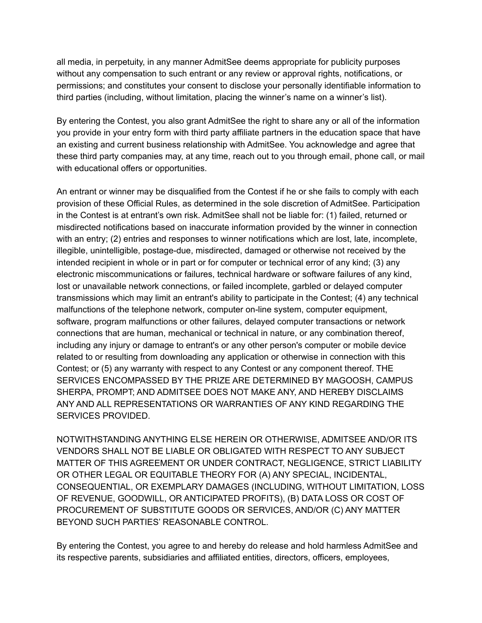all media, in perpetuity, in any manner AdmitSee deems appropriate for publicity purposes without any compensation to such entrant or any review or approval rights, notifications, or permissions; and constitutes your consent to disclose your personally identifiable information to third parties (including, without limitation, placing the winner's name on a winner's list).

By entering the Contest, you also grant AdmitSee the right to share any or all of the information you provide in your entry form with third party affiliate partners in the education space that have an existing and current business relationship with AdmitSee. You acknowledge and agree that these third party companies may, at any time, reach out to you through email, phone call, or mail with educational offers or opportunities.

An entrant or winner may be disqualified from the Contest if he or she fails to comply with each provision of these Official Rules, as determined in the sole discretion of AdmitSee. Participation in the Contest is at entrant's own risk. AdmitSee shall not be liable for: (1) failed, returned or misdirected notifications based on inaccurate information provided by the winner in connection with an entry; (2) entries and responses to winner notifications which are lost, late, incomplete, illegible, unintelligible, postage-due, misdirected, damaged or otherwise not received by the intended recipient in whole or in part or for computer or technical error of any kind; (3) any electronic miscommunications or failures, technical hardware or software failures of any kind, lost or unavailable network connections, or failed incomplete, garbled or delayed computer transmissions which may limit an entrant's ability to participate in the Contest; (4) any technical malfunctions of the telephone network, computer on-line system, computer equipment, software, program malfunctions or other failures, delayed computer transactions or network connections that are human, mechanical or technical in nature, or any combination thereof, including any injury or damage to entrant's or any other person's computer or mobile device related to or resulting from downloading any application or otherwise in connection with this Contest; or (5) any warranty with respect to any Contest or any component thereof. THE SERVICES ENCOMPASSED BY THE PRIZE ARE DETERMINED BY MAGOOSH, CAMPUS SHERPA, PROMPT; AND ADMITSEE DOES NOT MAKE ANY, AND HEREBY DISCLAIMS ANY AND ALL REPRESENTATIONS OR WARRANTIES OF ANY KIND REGARDING THE SERVICES PROVIDED.

NOTWITHSTANDING ANYTHING ELSE HEREIN OR OTHERWISE, ADMITSEE AND/OR ITS VENDORS SHALL NOT BE LIABLE OR OBLIGATED WITH RESPECT TO ANY SUBJECT MATTER OF THIS AGREEMENT OR UNDER CONTRACT, NEGLIGENCE, STRICT LIABILITY OR OTHER LEGAL OR EQUITABLE THEORY FOR (A) ANY SPECIAL, INCIDENTAL, CONSEQUENTIAL, OR EXEMPLARY DAMAGES (INCLUDING, WITHOUT LIMITATION, LOSS OF REVENUE, GOODWILL, OR ANTICIPATED PROFITS), (B) DATA LOSS OR COST OF PROCUREMENT OF SUBSTITUTE GOODS OR SERVICES, AND/OR (C) ANY MATTER BEYOND SUCH PARTIES' REASONABLE CONTROL.

By entering the Contest, you agree to and hereby do release and hold harmless AdmitSee and its respective parents, subsidiaries and affiliated entities, directors, officers, employees,